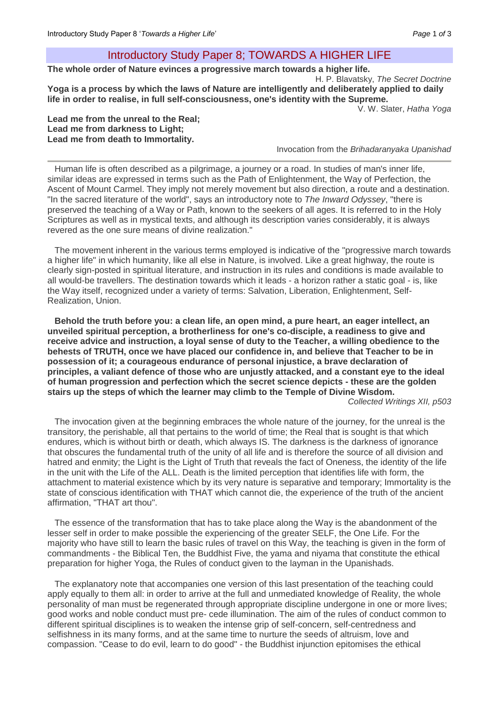# Introductory Study Paper 8; TOWARDS A HIGHER LIFE

**The whole order of Nature evinces a progressive march towards a higher life.** 

H. P. Blavatsky, *The Secret Doctrine*  **Yoga is a process by which the laws of Nature are intelligently and deliberately applied to daily life in order to realise, in full self-consciousness, one's identity with the Supreme.** 

V. W. Slater, *Hatha Yoga*

#### **Lead me from the unreal to the Real; Lead me from darkness to Light; Lead me from death to Immortality.**

Invocation from the *Brihadaranyaka Upanishad*

Human life is often described as a pilgrimage, a journey or a road. In studies of man's inner life, similar ideas are expressed in terms such as the Path of Enlightenment, the Way of Perfection, the Ascent of Mount Carmel. They imply not merely movement but also direction, a route and a destination. "In the sacred literature of the world", says an introductory note to *The Inward Odyssey*, "there is preserved the teaching of a Way or Path, known to the seekers of all ages. It is referred to in the Holy Scriptures as well as in mystical texts, and although its description varies considerably, it is always revered as the one sure means of divine realization."

The movement inherent in the various terms employed is indicative of the "progressive march towards a higher life" in which humanity, like all else in Nature, is involved. Like a great highway, the route is clearly sign-posted in spiritual literature, and instruction in its rules and conditions is made available to all would-be travellers. The destination towards which it leads - a horizon rather a static goal - is, like the Way itself, recognized under a variety of terms: Salvation, Liberation, Enlightenment, Self-Realization, Union.

**Behold the truth before you: a clean life, an open mind, a pure heart, an eager intellect, an unveiled spiritual perception, a brotherliness for one's co-disciple, a readiness to give and receive advice and instruction, a loyal sense of duty to the Teacher, a willing obedience to the behests of TRUTH, once we have placed our confidence in, and believe that Teacher to be in possession of it; a courageous endurance of personal injustice, a brave declaration of principles, a valiant defence of those who are unjustly attacked, and a constant eye to the ideal of human progression and perfection which the secret science depicts - these are the golden stairs up the steps of which the learner may climb to the Temple of Divine Wisdom.**

*Collected Writings XII, p503*

The invocation given at the beginning embraces the whole nature of the journey, for the unreal is the transitory, the perishable, all that pertains to the world of time; the Real that is sought is that which endures, which is without birth or death, which always IS. The darkness is the darkness of ignorance that obscures the fundamental truth of the unity of all life and is therefore the source of all division and hatred and enmity; the Light is the Light of Truth that reveals the fact of Oneness, the identity of the life in the unit with the Life of the ALL. Death is the limited perception that identifies life with form, the attachment to material existence which by its very nature is separative and temporary; Immortality is the state of conscious identification with THAT which cannot die, the experience of the truth of the ancient affirmation, "THAT art thou".

The essence of the transformation that has to take place along the Way is the abandonment of the lesser self in order to make possible the experiencing of the greater SELF, the One Life. For the majority who have still to learn the basic rules of travel on this Way, the teaching is given in the form of commandments - the Biblical Ten, the Buddhist Five, the yama and niyama that constitute the ethical preparation for higher Yoga, the Rules of conduct given to the layman in the Upanishads.

The explanatory note that accompanies one version of this last presentation of the teaching could apply equally to them all: in order to arrive at the full and unmediated knowledge of Reality, the whole personality of man must be regenerated through appropriate discipline undergone in one or more lives; good works and noble conduct must pre- cede illumination. The aim of the rules of conduct common to different spiritual disciplines is to weaken the intense grip of self-concern, self-centredness and selfishness in its many forms, and at the same time to nurture the seeds of altruism, love and compassion. "Cease to do evil, learn to do good" - the Buddhist injunction epitomises the ethical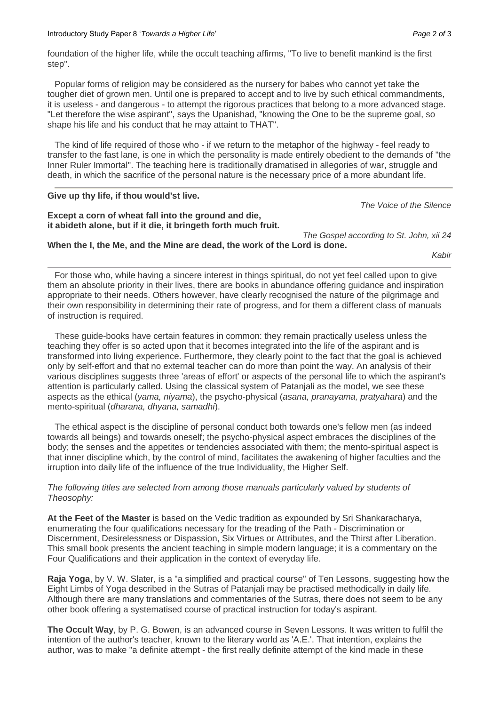foundation of the higher life, while the occult teaching affirms, "To live to benefit mankind is the first step".

Popular forms of religion may be considered as the nursery for babes who cannot yet take the tougher diet of grown men. Until one is prepared to accept and to live by such ethical commandments, it is useless - and dangerous - to attempt the rigorous practices that belong to a more advanced stage. "Let therefore the wise aspirant'', says the Upanishad, "knowing the One to be the supreme goal, so shape his life and his conduct that he may attaint to THAT".

The kind of life required of those who - if we return to the metaphor of the highway - feel ready to transfer to the fast lane, is one in which the personality is made entirely obedient to the demands of "the Inner Ruler Immortal". The teaching here is traditionally dramatised in allegories of war, struggle and death, in which the sacrifice of the personal nature is the necessary price of a more abundant life.

### **Give up thy life, if thou would'st live.**

### **Except a corn of wheat fall into the ground and die, it abideth alone, but if it die, it bringeth forth much fruit.**

*The Voice of the Silence*

*The Gospel according to St. John, xii 24* 

## **When the I, the Me, and the Mine are dead, the work of the Lord is done.**

*Kabir*

For those who, while having a sincere interest in things spiritual, do not yet feel called upon to give them an absolute priority in their lives, there are books in abundance offering guidance and inspiration appropriate to their needs. Others however, have clearly recognised the nature of the pilgrimage and their own responsibility in determining their rate of progress, and for them a different class of manuals of instruction is required.

These guide-books have certain features in common: they remain practically useless unless the teaching they offer is so acted upon that it becomes integrated into the life of the aspirant and is transformed into living experience. Furthermore, they clearly point to the fact that the goal is achieved only by self-effort and that no external teacher can do more than point the way. An analysis of their various disciplines suggests three 'areas of effort' or aspects of the personal life to which the aspirant's attention is particularly called. Using the classical system of Patanjali as the model, we see these aspects as the ethical (*yama, niyama*), the psycho-physical (*asana, pranayama, pratyahara*) and the mento-spiritual (*dharana, dhyana, samadhi*).

The ethical aspect is the discipline of personal conduct both towards one's fellow men (as indeed towards all beings) and towards oneself; the psycho-physical aspect embraces the disciplines of the body; the senses and the appetites or tendencies associated with them; the mento-spiritual aspect is that inner discipline which, by the control of mind, facilitates the awakening of higher faculties and the irruption into daily life of the influence of the true Individuality, the Higher Self.

## *The following titles are selected from among those manuals particularly valued by students of Theosophy:*

**At the Feet of the Master** is based on the Vedic tradition as expounded by Sri Shankaracharya, enumerating the four qualifications necessary for the treading of the Path - Discrimination or Discernment, Desirelessness or Dispassion, Six Virtues or Attributes, and the Thirst after Liberation. This small book presents the ancient teaching in simple modern language; it is a commentary on the Four Qualifications and their application in the context of everyday life.

**Raja Yoga**, by V. W. Slater, is a "a simplified and practical course" of Ten Lessons, suggesting how the Eight Limbs of Yoga described in the Sutras of Patanjali may be practised methodically in daily life. Although there are many translations and commentaries of the Sutras, there does not seem to be any other book offering a systematised course of practical instruction for today's aspirant.

**The Occult Way**, by P. G. Bowen, is an advanced course in Seven Lessons. It was written to fulfil the intention of the author's teacher, known to the literary world as 'A.E.'. That intention, explains the author, was to make "a definite attempt - the first really definite attempt of the kind made in these